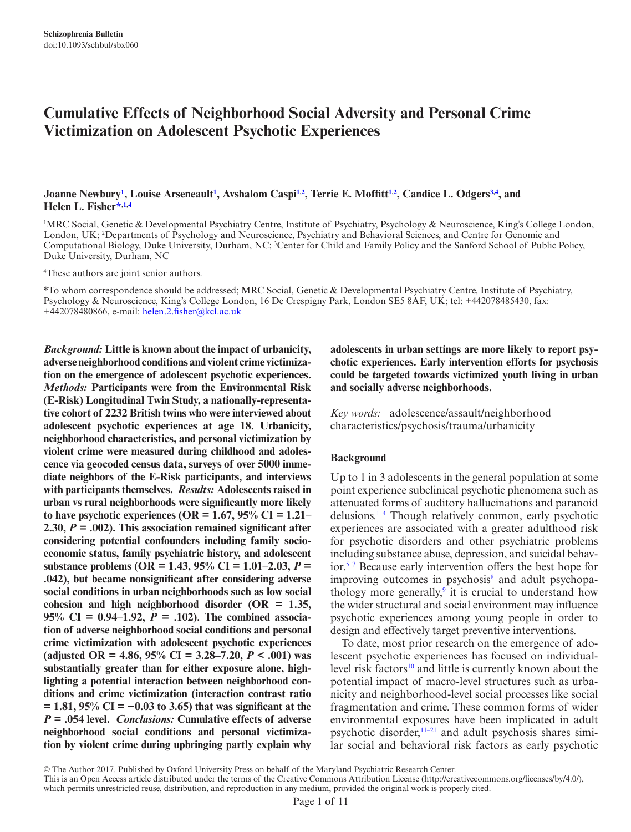# **Cumulative Effects of Neighborhood Social Adversity and Personal Crime Victimization on Adolescent Psychotic Experiences**

## **Joanne Newbury[1](#page-0-0) , Louise Arseneault[1](#page-0-0) , Avshalom Casp[i1](#page-0-0),[2](#page-0-1) , Terrie E. Moffitt[1,](#page-0-0)[2](#page-0-1) , Candice L. Odger[s3](#page-0-2)[,4](#page-0-3) , and Helen L. Fishe[r\\*](#page-0-4)[,1](#page-0-0),[4](#page-0-3)**

<span id="page-0-2"></span><span id="page-0-1"></span><span id="page-0-0"></span>1 MRC Social, Genetic & Developmental Psychiatry Centre, Institute of Psychiatry, Psychology & Neuroscience, King's College London, London, UK; 2 Departments of Psychology and Neuroscience, Psychiatry and Behavioral Sciences, and Centre for Genomic and Computational Biology, Duke University, Durham, NC; <sup>3</sup>Center for Child and Family Policy and the Sanford School of Public Policy, Duke University, Durham, NC

<span id="page-0-3"></span>4 These authors are joint senior authors.

<span id="page-0-4"></span>\*To whom correspondence should be addressed; MRC Social, Genetic & Developmental Psychiatry Centre, Institute of Psychiatry, Psychology & Neuroscience, King's College London, 16 De Crespigny Park, London SE5 8AF, UK; tel: +442078485430, fax: +442078480866, e-mail: [helen.2.fisher@kcl.ac.uk](mailto:helen.2.fisher@kcl.ac.uk?subject=)

*Background:* **Little is known about the impact of urbanicity, adverse neighborhood conditions and violent crime victimization on the emergence of adolescent psychotic experiences.**  *Methods:* **Participants were from the Environmental Risk (E-Risk) Longitudinal Twin Study, a nationally-representative cohort of 2232 British twins who were interviewed about adolescent psychotic experiences at age 18. Urbanicity, neighborhood characteristics, and personal victimization by violent crime were measured during childhood and adolescence via geocoded census data, surveys of over 5000 immediate neighbors of the E-Risk participants, and interviews with participants themselves.** *Results:* **Adolescents raised in urban vs rural neighborhoods were significantly more likely to have psychotic experiences (OR = 1.67, 95% CI = 1.21– 2.30,** *P* **= .002). This association remained significant after considering potential confounders including family socioeconomic status, family psychiatric history, and adolescent substance problems (OR = 1.43, 95% CI = 1.01–2.03,** *P* **= .042), but became nonsignificant after considering adverse social conditions in urban neighborhoods such as low social cohesion and high neighborhood disorder (OR = 1.35,**  95% CI =  $0.94-1.92$ ,  $P = 0.102$ . The combined associa**tion of adverse neighborhood social conditions and personal crime victimization with adolescent psychotic experiences (adjusted OR = 4.86, 95% CI = 3.28–7.20,** *P* **< .001) was substantially greater than for either exposure alone, highlighting a potential interaction between neighborhood conditions and crime victimization (interaction contrast ratio = 1.81, 95% CI = −0.03 to 3.65) that was significant at the**  *P* **= .054 level.** *Conclusions:* **Cumulative effects of adverse neighborhood social conditions and personal victimization by violent crime during upbringing partly explain why** 

**adolescents in urban settings are more likely to report psychotic experiences. Early intervention efforts for psychosis could be targeted towards victimized youth living in urban and socially adverse neighborhoods.**

*Key words:* adolescence/assault/neighborhood characteristics/psychosis/trauma/urbanicity

#### **Background**

Up to 1 in 3 adolescents in the general population at some point experience subclinical psychotic phenomena such as attenuated forms of auditory hallucinations and paranoid delusions[.1–4](#page-8-0) Though relatively common, early psychotic experiences are associated with a greater adulthood risk for psychotic disorders and other psychiatric problems including substance abuse, depression, and suicidal behavior.[5–7](#page-8-1) Because early intervention offers the best hope for improving outcomes in psychosis<sup>[8](#page-8-2)</sup> and adult psychopa-thology more generally,<sup>[9](#page-8-3)</sup> it is crucial to understand how the wider structural and social environment may influence psychotic experiences among young people in order to design and effectively target preventive interventions.

To date, most prior research on the emergence of adolescent psychotic experiences has focused on individuallevel risk factors<sup>10</sup> and little is currently known about the potential impact of macro-level structures such as urbanicity and neighborhood-level social processes like social fragmentation and crime. These common forms of wider environmental exposures have been implicated in adult psychotic disorder,[11–21](#page-8-5) and adult psychosis shares similar social and behavioral risk factors as early psychotic

© The Author 2017. Published by Oxford University Press on behalf of the Maryland Psychiatric Research Center.

This is an Open Access article distributed under the terms of the Creative Commons Attribution License (http://creativecommons.org/licenses/by/4.0/), which permits unrestricted reuse, distribution, and reproduction in any medium, provided the original work is properly cited.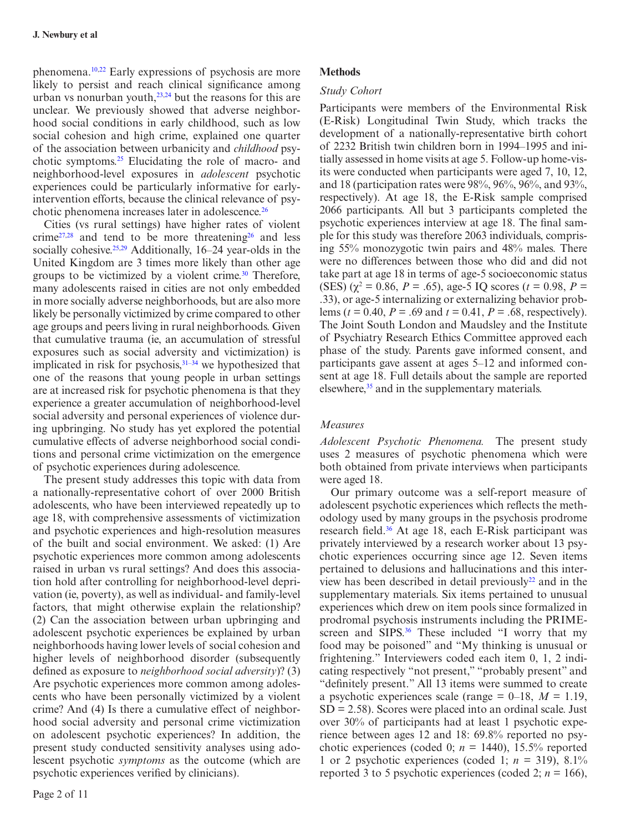phenomena.<sup>[10,](#page-8-4)22</sup> Early expressions of psychosis are more likely to persist and reach clinical significance among urban vs nonurban youth, $23,24$  $23,24$  but the reasons for this are unclear. We previously showed that adverse neighborhood social conditions in early childhood, such as low social cohesion and high crime, explained one quarter of the association between urbanicity and *childhood* psychotic symptoms[.25](#page-9-3) Elucidating the role of macro- and neighborhood-level exposures in *adolescent* psychotic experiences could be particularly informative for earlyintervention efforts, because the clinical relevance of psychotic phenomena increases later in adolescence.<sup>26</sup>

Cities (vs rural settings) have higher rates of violent crime $27,28$  $27,28$  and tend to be more threatening<sup>26</sup> and less socially cohesive.<sup>25,29</sup> Additionally, 16–24 year-olds in the United Kingdom are 3 times more likely than other age groups to be victimized by a violent crime. $30$  Therefore, many adolescents raised in cities are not only embedded in more socially adverse neighborhoods, but are also more likely be personally victimized by crime compared to other age groups and peers living in rural neighborhoods. Given that cumulative trauma (ie, an accumulation of stressful exposures such as social adversity and victimization) is implicated in risk for psychosis[,31–34](#page-9-9) we hypothesized that one of the reasons that young people in urban settings are at increased risk for psychotic phenomena is that they experience a greater accumulation of neighborhood-level social adversity and personal experiences of violence during upbringing. No study has yet explored the potential cumulative effects of adverse neighborhood social conditions and personal crime victimization on the emergence of psychotic experiences during adolescence.

The present study addresses this topic with data from a nationally-representative cohort of over 2000 British adolescents, who have been interviewed repeatedly up to age 18, with comprehensive assessments of victimization and psychotic experiences and high-resolution measures of the built and social environment. We asked: (1) Are psychotic experiences more common among adolescents raised in urban vs rural settings? And does this association hold after controlling for neighborhood-level deprivation (ie, poverty), as well as individual- and family-level factors, that might otherwise explain the relationship? (2) Can the association between urban upbringing and adolescent psychotic experiences be explained by urban neighborhoods having lower levels of social cohesion and higher levels of neighborhood disorder (subsequently defined as exposure to *neighborhood social adversity*)? (3) Are psychotic experiences more common among adolescents who have been personally victimized by a violent crime? And (4) Is there a cumulative effect of neighborhood social adversity and personal crime victimization on adolescent psychotic experiences? In addition, the present study conducted sensitivity analyses using adolescent psychotic *symptoms* as the outcome (which are psychotic experiences verified by clinicians).

#### **Methods**

#### *Study Cohort*

Participants were members of the Environmental Risk (E-Risk) Longitudinal Twin Study, which tracks the development of a nationally-representative birth cohort of 2232 British twin children born in 1994–1995 and initially assessed in home visits at age 5. Follow-up home-visits were conducted when participants were aged 7, 10, 12, and 18 (participation rates were 98%, 96%, 96%, and 93%, respectively). At age 18, the E-Risk sample comprised 2066 participants. All but 3 participants completed the psychotic experiences interview at age 18. The final sample for this study was therefore 2063 individuals, comprising 55% monozygotic twin pairs and 48% males. There were no differences between those who did and did not take part at age 18 in terms of age-5 socioeconomic status  $(SES)$  ( $\chi^2 = 0.86$ ,  $P = .65$ ), age-5 IQ scores ( $t = 0.98$ ,  $P =$ .33), or age-5 internalizing or externalizing behavior problems (*t* = 0.40, *P* = .69 and *t* = 0.41, *P* = .68, respectively). The Joint South London and Maudsley and the Institute of Psychiatry Research Ethics Committee approved each phase of the study. Parents gave informed consent, and participants gave assent at ages 5–12 and informed consent at age 18. Full details about the sample are reported elsewhere,<sup>35</sup> and in the supplementary materials.

#### *Measures*

*Adolescent Psychotic Phenomena.* The present study uses 2 measures of psychotic phenomena which were both obtained from private interviews when participants were aged 18.

Our primary outcome was a self-report measure of adolescent psychotic experiences which reflects the methodology used by many groups in the psychosis prodrome research field.<sup>36</sup> At age 18, each E-Risk participant was privately interviewed by a research worker about 13 psychotic experiences occurring since age 12. Seven items pertained to delusions and hallucinations and this interview has been described in detail previously<sup>22</sup> and in the supplementary materials. Six items pertained to unusual experiences which drew on item pools since formalized in prodromal psychosis instruments including the PRIMEscreen and SIPS.<sup>36</sup> These included "I worry that my food may be poisoned" and "My thinking is unusual or frightening." Interviewers coded each item 0, 1, 2 indicating respectively "not present," "probably present" and "definitely present." All 13 items were summed to create a psychotic experiences scale (range  $= 0-18$ ,  $M = 1.19$ ,  $SD = 2.58$ ). Scores were placed into an ordinal scale. Just over 30% of participants had at least 1 psychotic experience between ages 12 and 18: 69.8% reported no psychotic experiences (coded 0;  $n = 1440$ ), 15.5% reported 1 or 2 psychotic experiences (coded 1;  $n = 319$ ),  $8.1\%$ reported 3 to 5 psychotic experiences (coded 2;  $n = 166$ ),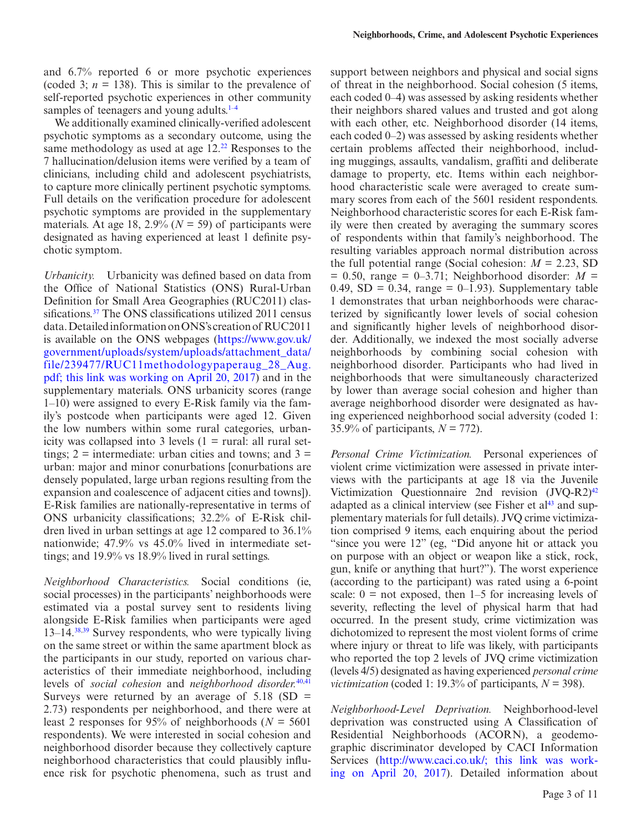and 6.7% reported 6 or more psychotic experiences (coded 3;  $n = 138$ ). This is similar to the prevalence of self-reported psychotic experiences in other community samples of teenagers and young adults. $1-4$ 

We additionally examined clinically-verified adolescent psychotic symptoms as a secondary outcome, using the same methodology as used at age 12.<sup>22</sup> Responses to the 7 hallucination/delusion items were verified by a team of clinicians, including child and adolescent psychiatrists, to capture more clinically pertinent psychotic symptoms. Full details on the verification procedure for adolescent psychotic symptoms are provided in the supplementary materials. At age 18, 2.9% ( $N = 59$ ) of participants were designated as having experienced at least 1 definite psychotic symptom.

*Urbanicity.* Urbanicity was defined based on data from the Office of National Statistics (ONS) Rural-Urban Definition for Small Area Geographies (RUC2011) classifications.<sup>37</sup> The ONS classifications utilized 2011 census data. Detailed information on ONS's creation of RUC2011 is available on the ONS webpages ([https://www.gov.uk/](https://www.gov.uk/government/uploads/system/uploads/attachment_data/file/239477/RUC11methodologypaperaug_28_Aug.pdf) [government/uploads/system/uploads/attachment\\_data/](https://www.gov.uk/government/uploads/system/uploads/attachment_data/file/239477/RUC11methodologypaperaug_28_Aug.pdf) [file/239477/RUC11methodologypaperaug\\_28\\_Aug.](https://www.gov.uk/government/uploads/system/uploads/attachment_data/file/239477/RUC11methodologypaperaug_28_Aug.pdf) [pdf; this link was working on April 20, 2017\)](https://www.gov.uk/government/uploads/system/uploads/attachment_data/file/239477/RUC11methodologypaperaug_28_Aug.pdf) and in the supplementary materials. ONS urbanicity scores (range 1–10) were assigned to every E-Risk family via the family's postcode when participants were aged 12. Given the low numbers within some rural categories, urbanicity was collapsed into 3 levels  $(1 = \text{rural: all rural set-})$ tings;  $2$  = intermediate: urban cities and towns; and  $3$  = urban: major and minor conurbations [conurbations are densely populated, large urban regions resulting from the expansion and coalescence of adjacent cities and towns]). E-Risk families are nationally-representative in terms of ONS urbanicity classifications; 32.2% of E-Risk children lived in urban settings at age 12 compared to 36.1% nationwide; 47.9% vs 45.0% lived in intermediate settings; and 19.9% vs 18.9% lived in rural settings.

*Neighborhood Characteristics.* Social conditions (ie, social processes) in the participants' neighborhoods were estimated via a postal survey sent to residents living alongside E-Risk families when participants were aged  $13-14.38,39$  $13-14.38,39$  $13-14.38,39$  Survey respondents, who were typically living on the same street or within the same apartment block as the participants in our study, reported on various characteristics of their immediate neighborhood, including levels of *social cohesion* and *neighborhood disorder.*[40](#page-9-15),[41](#page-9-16) Surveys were returned by an average of  $5.18$  (SD = 2.73) respondents per neighborhood, and there were at least 2 responses for 95% of neighborhoods ( $N = 5601$ ) respondents). We were interested in social cohesion and neighborhood disorder because they collectively capture neighborhood characteristics that could plausibly influence risk for psychotic phenomena, such as trust and support between neighbors and physical and social signs of threat in the neighborhood. Social cohesion (5 items, each coded 0–4) was assessed by asking residents whether their neighbors shared values and trusted and got along with each other, etc. Neighborhood disorder (14 items, each coded 0–2) was assessed by asking residents whether certain problems affected their neighborhood, including muggings, assaults, vandalism, graffiti and deliberate damage to property, etc. Items within each neighborhood characteristic scale were averaged to create summary scores from each of the 5601 resident respondents. Neighborhood characteristic scores for each E-Risk family were then created by averaging the summary scores of respondents within that family's neighborhood. The resulting variables approach normal distribution across the full potential range (Social cohesion:  $M = 2.23$ , SD  $= 0.50$ , range  $= 0-3.71$ ; Neighborhood disorder:  $M =$ 0.49,  $SD = 0.34$ , range = 0–1.93). Supplementary table 1 demonstrates that urban neighborhoods were characterized by significantly lower levels of social cohesion and significantly higher levels of neighborhood disorder. Additionally, we indexed the most socially adverse neighborhoods by combining social cohesion with neighborhood disorder. Participants who had lived in neighborhoods that were simultaneously characterized by lower than average social cohesion and higher than average neighborhood disorder were designated as having experienced neighborhood social adversity (coded 1: 35.9% of participants, *N* = 772).

*Personal Crime Victimization.* Personal experiences of violent crime victimization were assessed in private interviews with the participants at age 18 via the Juvenile Victimization Questionnaire 2nd revision  $(JVO-R2)^{42}$ adapted as a clinical interview (see Fisher et  $al<sup>43</sup>$  and supplementary materials for full details). JVQ crime victimization comprised 9 items, each enquiring about the period "since you were 12" (eg, "Did anyone hit or attack you on purpose with an object or weapon like a stick, rock, gun, knife or anything that hurt?"). The worst experience (according to the participant) was rated using a 6-point scale:  $0 =$  not exposed, then 1–5 for increasing levels of severity, reflecting the level of physical harm that had occurred. In the present study, crime victimization was dichotomized to represent the most violent forms of crime where injury or threat to life was likely, with participants who reported the top 2 levels of JVQ crime victimization (levels 4/5) designated as having experienced *personal crime victimization* (coded 1: 19.3% of participants,  $N = 398$ ).

*Neighborhood-Level Deprivation.* Neighborhood-level deprivation was constructed using A Classification of Residential Neighborhoods (ACORN), a geodemographic discriminator developed by CACI Information Services [\(http://www.caci.co.uk/; this link was work](http://www.caci.co.uk/)[ing on April 20, 2017](http://www.caci.co.uk/)). Detailed information about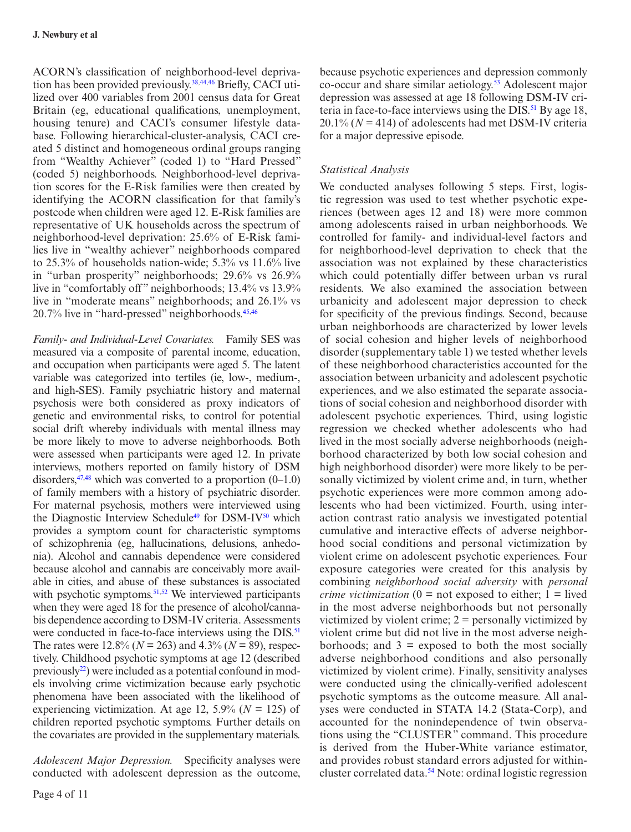ACORN's classification of neighborhood-level depriva-tion has been provided previously.<sup>38,[44](#page-9-19),[46](#page-9-20)</sup> Briefly, CACI utilized over 400 variables from 2001 census data for Great Britain (eg, educational qualifications, unemployment, housing tenure) and CACI's consumer lifestyle database. Following hierarchical-cluster-analysis, CACI created 5 distinct and homogeneous ordinal groups ranging from "Wealthy Achiever" (coded 1) to "Hard Pressed" (coded 5) neighborhoods. Neighborhood-level deprivation scores for the E-Risk families were then created by identifying the ACORN classification for that family's postcode when children were aged 12. E-Risk families are representative of UK households across the spectrum of neighborhood-level deprivation: 25.6% of E-Risk families live in "wealthy achiever" neighborhoods compared to 25.3% of households nation-wide; 5.3% vs 11.6% live in "urban prosperity" neighborhoods; 29.6% vs 26.9% live in "comfortably off" neighborhoods; 13.4% vs 13.9% live in "moderate means" neighborhoods; and 26.1% vs 20.7% live in "hard-pressed" neighborhoods.<sup>[45](#page-9-21)[,46](#page-9-20)</sup>

*Family- and Individual-Level Covariates.* Family SES was measured via a composite of parental income, education, and occupation when participants were aged 5. The latent variable was categorized into tertiles (ie, low-, medium-, and high-SES). Family psychiatric history and maternal psychosis were both considered as proxy indicators of genetic and environmental risks, to control for potential social drift whereby individuals with mental illness may be more likely to move to adverse neighborhoods. Both were assessed when participants were aged 12. In private interviews, mothers reported on family history of DSM disorders,  $47,48$  which was converted to a proportion  $(0-1.0)$ of family members with a history of psychiatric disorder. For maternal psychosis, mothers were interviewed using the Diagnostic Interview Schedule<sup>49</sup> for DSM-IV<sup>50</sup> which provides a symptom count for characteristic symptoms of schizophrenia (eg, hallucinations, delusions, anhedonia). Alcohol and cannabis dependence were considered because alcohol and cannabis are conceivably more available in cities, and abuse of these substances is associated with psychotic symptoms. $51,52$  We interviewed participants when they were aged 18 for the presence of alcohol/cannabis dependence according to DSM-IV criteria. Assessments were conducted in face-to-face interviews using the DIS.<sup>51</sup> The rates were  $12.8\%$  ( $N = 263$ ) and  $4.3\%$  ( $N = 89$ ), respectively. Childhood psychotic symptoms at age 12 (described previously $^{22}$ ) were included as a potential confound in models involving crime victimization because early psychotic phenomena have been associated with the likelihood of experiencing victimization. At age 12,  $5.9\%$  ( $N = 125$ ) of children reported psychotic symptoms. Further details on the covariates are provided in the supplementary materials.

*Adolescent Major Depression.* Specificity analyses were conducted with adolescent depression as the outcome,

because psychotic experiences and depression commonly co-occur and share similar aetiology.[53](#page-10-1) Adolescent major depression was assessed at age 18 following DSM-IV criteria in face-to-face interviews using the DIS.<sup>51</sup> By age 18,  $20.1\%$  ( $N = 414$ ) of adolescents had met DSM-IV criteria for a major depressive episode.

## *Statistical Analysis*

We conducted analyses following 5 steps. First, logistic regression was used to test whether psychotic experiences (between ages 12 and 18) were more common among adolescents raised in urban neighborhoods. We controlled for family- and individual-level factors and for neighborhood-level deprivation to check that the association was not explained by these characteristics which could potentially differ between urban vs rural residents. We also examined the association between urbanicity and adolescent major depression to check for specificity of the previous findings. Second, because urban neighborhoods are characterized by lower levels of social cohesion and higher levels of neighborhood disorder (supplementary table 1) we tested whether levels of these neighborhood characteristics accounted for the association between urbanicity and adolescent psychotic experiences, and we also estimated the separate associations of social cohesion and neighborhood disorder with adolescent psychotic experiences. Third, using logistic regression we checked whether adolescents who had lived in the most socially adverse neighborhoods (neighborhood characterized by both low social cohesion and high neighborhood disorder) were more likely to be personally victimized by violent crime and, in turn, whether psychotic experiences were more common among adolescents who had been victimized. Fourth, using interaction contrast ratio analysis we investigated potential cumulative and interactive effects of adverse neighborhood social conditions and personal victimization by violent crime on adolescent psychotic experiences. Four exposure categories were created for this analysis by combining *neighborhood social adversity* with *personal crime victimization*  $(0 = not exposed to either; 1 = lived$ in the most adverse neighborhoods but not personally victimized by violent crime; 2 = personally victimized by violent crime but did not live in the most adverse neighborhoods; and  $3 =$  exposed to both the most socially adverse neighborhood conditions and also personally victimized by violent crime). Finally, sensitivity analyses were conducted using the clinically-verified adolescent psychotic symptoms as the outcome measure. All analyses were conducted in STATA 14.2 (Stata-Corp), and accounted for the nonindependence of twin observations using the "CLUSTER" command. This procedure is derived from the Huber-White variance estimator, and provides robust standard errors adjusted for withincluster correlated data.<sup>54</sup> Note: ordinal logistic regression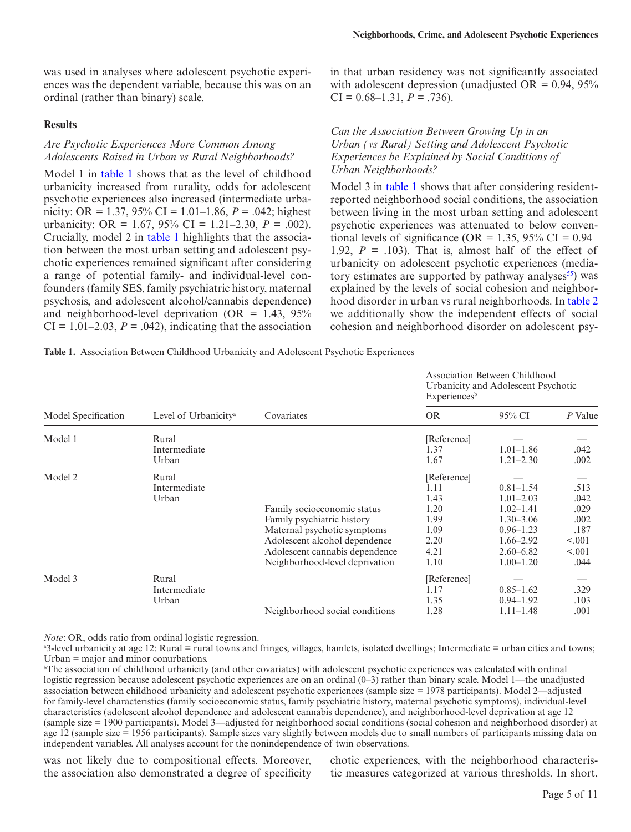was used in analyses where adolescent psychotic experiences was the dependent variable, because this was on an ordinal (rather than binary) scale.

#### **Results**

# *Are Psychotic Experiences More Common Among Adolescents Raised in Urban vs Rural Neighborhoods?*

Model 1 in [table 1](#page-4-0) shows that as the level of childhood urbanicity increased from rurality, odds for adolescent psychotic experiences also increased (intermediate urbanicity: OR = 1.37, 95% CI = 1.01–1.86, *P* = .042; highest urbanicity: OR = 1.67, 95% CI = 1.21–2.30,  $P = .002$ ). Crucially, model 2 in [table 1](#page-4-0) highlights that the association between the most urban setting and adolescent psychotic experiences remained significant after considering a range of potential family- and individual-level confounders (family SES, family psychiatric history, maternal psychosis, and adolescent alcohol/cannabis dependence) and neighborhood-level deprivation (OR  $=$  1.43, 95%  $CI = 1.01-2.03$ ,  $P = .042$ ), indicating that the association

in that urban residency was not significantly associated with adolescent depression (unadjusted OR =  $0.94$ ,  $95\%$  $CI = 0.68 - 1.31, P = .736$ .

### *Can the Association Between Growing Up in an Urban (vs Rural) Setting and Adolescent Psychotic Experiences be Explained by Social Conditions of Urban Neighborhoods?*

Model 3 in [table 1](#page-4-0) shows that after considering residentreported neighborhood social conditions, the association between living in the most urban setting and adolescent psychotic experiences was attenuated to below conventional levels of significance (OR = 1.35, 95% CI =  $0.94-$ 1.92,  $P = .103$ ). That is, almost half of the effect of urbanicity on adolescent psychotic experiences (mediatory estimates are supported by pathway analyses $55$ ) was explained by the levels of social cohesion and neighborhood disorder in urban vs rural neighborhoods. In [table 2](#page-5-0) we additionally show the independent effects of social cohesion and neighborhood disorder on adolescent psy-

<span id="page-4-0"></span>**Table 1.** Association Between Childhood Urbanicity and Adolescent Psychotic Experiences

|                     |                                  |                                                                                                                                                                                               | Association Between Childhood<br>Urbanicity and Adolescent Psychotic<br>Experiences <sup>b</sup> |                                                                                                                                      |                                                                  |  |
|---------------------|----------------------------------|-----------------------------------------------------------------------------------------------------------------------------------------------------------------------------------------------|--------------------------------------------------------------------------------------------------|--------------------------------------------------------------------------------------------------------------------------------------|------------------------------------------------------------------|--|
| Model Specification | Level of Urbanicity <sup>a</sup> | Covariates                                                                                                                                                                                    | <b>OR</b>                                                                                        | 95% CI                                                                                                                               | P Value                                                          |  |
| Model 1             | Rural<br>Intermediate<br>Urban   |                                                                                                                                                                                               | [Reference]<br>1.37<br>1.67                                                                      | $1.01 - 1.86$<br>$1.21 - 2.30$                                                                                                       | .042<br>.002                                                     |  |
| Model 2             | Rural<br>Intermediate<br>Urban   | Family socioeconomic status<br>Family psychiatric history<br>Maternal psychotic symptoms<br>Adolescent alcohol dependence<br>Adolescent cannabis dependence<br>Neighborhood-level deprivation | [Reference]<br>1.11<br>1.43<br>1.20<br>1.99<br>1.09<br>2.20<br>4.21<br>1.10                      | $0.81 - 1.54$<br>$1.01 - 2.03$<br>$1.02 - 1.41$<br>$1.30 - 3.06$<br>$0.96 - 1.23$<br>$1.66 - 2.92$<br>$2.60 - 6.82$<br>$1.00 - 1.20$ | .513<br>.042<br>.029<br>.002<br>.187<br>< .001<br>< .001<br>.044 |  |
| Model 3             | Rural<br>Intermediate<br>Urban   | Neighborhood social conditions                                                                                                                                                                | [Reference]<br>1.17<br>1.35<br>1.28                                                              | $0.85 - 1.62$<br>$0.94 - 1.92$<br>$1.11 - 1.48$                                                                                      | .329<br>.103<br>.001                                             |  |

*Note*: OR, odds ratio from ordinal logistic regression.

a 3-level urbanicity at age 12: Rural = rural towns and fringes, villages, hamlets, isolated dwellings; Intermediate = urban cities and towns; Urban = major and minor conurbations.

b The association of childhood urbanicity (and other covariates) with adolescent psychotic experiences was calculated with ordinal logistic regression because adolescent psychotic experiences are on an ordinal (0–3) rather than binary scale. Model 1—the unadjusted association between childhood urbanicity and adolescent psychotic experiences (sample size = 1978 participants). Model 2—adjusted for family-level characteristics (family socioeconomic status, family psychiatric history, maternal psychotic symptoms), individual-level characteristics (adolescent alcohol dependence and adolescent cannabis dependence), and neighborhood-level deprivation at age 12 (sample size = 1900 participants). Model 3—adjusted for neighborhood social conditions (social cohesion and neighborhood disorder) at age 12 (sample size = 1956 participants). Sample sizes vary slightly between models due to small numbers of participants missing data on independent variables. All analyses account for the nonindependence of twin observations.

was not likely due to compositional effects. Moreover, the association also demonstrated a degree of specificity

chotic experiences, with the neighborhood characteristic measures categorized at various thresholds. In short,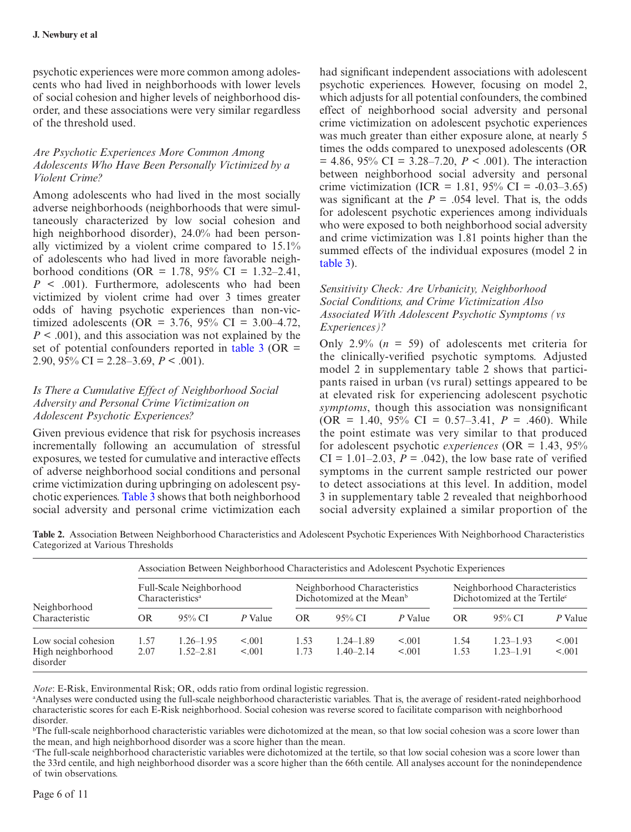psychotic experiences were more common among adolescents who had lived in neighborhoods with lower levels of social cohesion and higher levels of neighborhood disorder, and these associations were very similar regardless of the threshold used.

# *Are Psychotic Experiences More Common Among Adolescents Who Have Been Personally Victimized by a Violent Crime?*

Among adolescents who had lived in the most socially adverse neighborhoods (neighborhoods that were simultaneously characterized by low social cohesion and high neighborhood disorder), 24.0% had been personally victimized by a violent crime compared to 15.1% of adolescents who had lived in more favorable neighborhood conditions (OR = 1.78,  $95\%$  CI = 1.32–2.41,  $P \leq .001$ ). Furthermore, adolescents who had been victimized by violent crime had over 3 times greater odds of having psychotic experiences than non-victimized adolescents (OR = 3.76, 95% CI = 3.00–4.72, *P* < .001), and this association was not explained by the set of potential confounders reported in table  $3$  (OR = 2.90,  $95\%$  CI = 2.28–3.69,  $P < .001$ ).

# *Is There a Cumulative Effect of Neighborhood Social Adversity and Personal Crime Victimization on Adolescent Psychotic Experiences?*

Given previous evidence that risk for psychosis increases incrementally following an accumulation of stressful exposures, we tested for cumulative and interactive effects of adverse neighborhood social conditions and personal crime victimization during upbringing on adolescent psychotic experiences. [Table 3](#page-6-0) shows that both neighborhood social adversity and personal crime victimization each

had significant independent associations with adolescent psychotic experiences. However, focusing on model 2, which adjusts for all potential confounders, the combined effect of neighborhood social adversity and personal crime victimization on adolescent psychotic experiences was much greater than either exposure alone, at nearly 5 times the odds compared to unexposed adolescents (OR  $= 4.86, 95\% \text{ CI} = 3.28 - 7.20, P < .001$ . The interaction between neighborhood social adversity and personal crime victimization (ICR = 1.81, 95% CI =  $-0.03-3.65$ ) was significant at the  $P = 0.054$  level. That is, the odds for adolescent psychotic experiences among individuals who were exposed to both neighborhood social adversity and crime victimization was 1.81 points higher than the summed effects of the individual exposures (model 2 in [table 3](#page-6-0)).

# *Sensitivity Check: Are Urbanicity, Neighborhood Social Conditions, and Crime Victimization Also Associated With Adolescent Psychotic Symptoms (vs Experiences)?*

Only 2.9%  $(n = 59)$  of adolescents met criteria for the clinically-verified psychotic symptoms. Adjusted model 2 in supplementary table 2 shows that participants raised in urban (vs rural) settings appeared to be at elevated risk for experiencing adolescent psychotic *symptoms*, though this association was nonsignificant  $(OR = 1.40, 95\% \text{ CI} = 0.57-3.41, P = .460)$ . While the point estimate was very similar to that produced for adolescent psychotic *experiences* (OR = 1.43, 95%  $CI = 1.01 - 2.03$ ,  $P = .042$ ), the low base rate of verified symptoms in the current sample restricted our power to detect associations at this level. In addition, model 3 in supplementary table 2 revealed that neighborhood social adversity explained a similar proportion of the

<span id="page-5-0"></span>**Table 2.** Association Between Neighborhood Characteristics and Adolescent Psychotic Experiences With Neighborhood Characteristics Categorized at Various Thresholds

|                                                      |              |                                                         |                  |              | Association Between Neighborhood Characteristics and Adolescent Psychotic Experiences |                  |              |                                                                          |                    |
|------------------------------------------------------|--------------|---------------------------------------------------------|------------------|--------------|---------------------------------------------------------------------------------------|------------------|--------------|--------------------------------------------------------------------------|--------------------|
|                                                      |              | Full-Scale Neighborhood<br>Characteristics <sup>a</sup> |                  |              | Neighborhood Characteristics<br>Dichotomized at the Mean <sup>b</sup>                 |                  |              | Neighborhood Characteristics<br>Dichotomized at the Tertile <sup>c</sup> |                    |
| Neighborhood<br>Characteristic                       | <b>OR</b>    | $95\%$ CI                                               | P Value          | <b>OR</b>    | 95% CI                                                                                | P Value          | OR.          | 95% CI                                                                   | P Value            |
| Low social cohesion<br>High neighborhood<br>disorder | l.57<br>2.07 | $1.26 - 1.95$<br>$1.52 - 2.81$                          | < 0.01<br>< 0.01 | 1.53<br>1.73 | $1.24 - 1.89$<br>$1.40 - 2.14$                                                        | < 0.01<br>< 0.01 | 1.54<br>1.53 | $1.23 - 1.93$<br>$1.23 - 1.91$                                           | < 0.001<br>< 0.001 |

*Note*: E-Risk, Environmental Risk; OR, odds ratio from ordinal logistic regression.

a Analyses were conducted using the full-scale neighborhood characteristic variables. That is, the average of resident-rated neighborhood characteristic scores for each E-Risk neighborhood. Social cohesion was reverse scored to facilitate comparison with neighborhood disorder.

b The full-scale neighborhood characteristic variables were dichotomized at the mean, so that low social cohesion was a score lower than the mean, and high neighborhood disorder was a score higher than the mean.

c The full-scale neighborhood characteristic variables were dichotomized at the tertile, so that low social cohesion was a score lower than the 33rd centile, and high neighborhood disorder was a score higher than the 66th centile. All analyses account for the nonindependence of twin observations.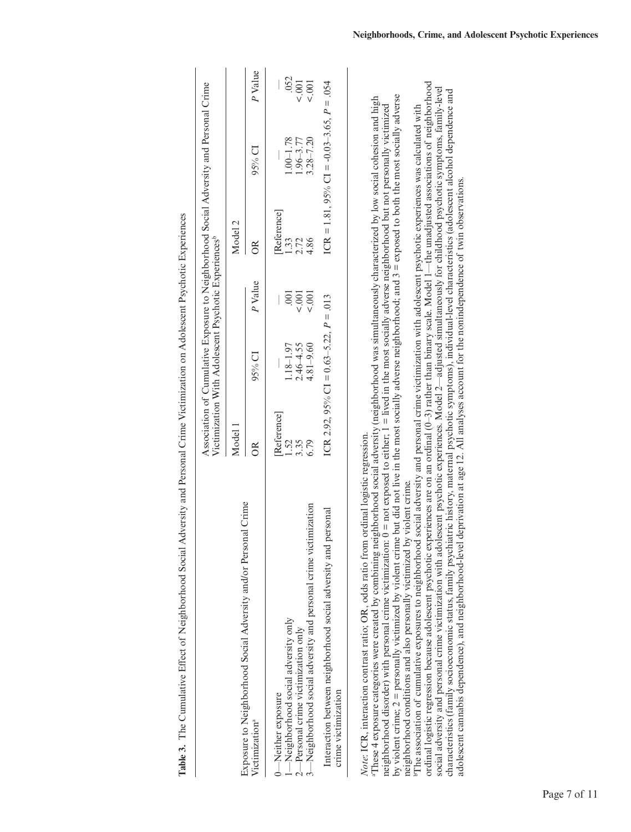|                                                                                                                                                                                                                                                                                                                                                                                                                                                                                                                                                                                                                               |                     | Victimization With Adolescent Psychotic Experiences <sup>b</sup> |                | Association of Cumulative Exposure to Neighborhood Social Adversity and Personal Crime |                                                |            |
|-------------------------------------------------------------------------------------------------------------------------------------------------------------------------------------------------------------------------------------------------------------------------------------------------------------------------------------------------------------------------------------------------------------------------------------------------------------------------------------------------------------------------------------------------------------------------------------------------------------------------------|---------------------|------------------------------------------------------------------|----------------|----------------------------------------------------------------------------------------|------------------------------------------------|------------|
|                                                                                                                                                                                                                                                                                                                                                                                                                                                                                                                                                                                                                               | Model 1             |                                                                  |                | Model 2                                                                                |                                                |            |
| Exposure to Neighborhood Social Adversity and/or Personal Crime<br>Victimization <sup>a</sup>                                                                                                                                                                                                                                                                                                                                                                                                                                                                                                                                 | $_{\rm \odot}$      | $95\%$ CI                                                        | P Value        | $_{\rm \odot}$                                                                         | $95%$ CI                                       | P Value    |
| Neighborhood social adversity only<br>-Neither exposure                                                                                                                                                                                                                                                                                                                                                                                                                                                                                                                                                                       | [Reference]<br>1.52 | $1.18 - 1.97$                                                    | $\overline{0}$ | Reference<br>$\ddot{33}$                                                               | $1.00 - 1.78$                                  | .052       |
| Neighborhood social adversity and personal crime victimization<br>$2$ —Personal crime victimization only                                                                                                                                                                                                                                                                                                                                                                                                                                                                                                                      | 6.79<br>3.35        | $4.81 - 9.60$<br>$2.46 - 4.55$                                   | 5001<br>0.001  | $2.72$<br>4.86                                                                         | $3.28 - 7.20$<br>1.96-3.77                     | 001<br>001 |
| personal<br>Interaction between neighborhood social adversity and<br>crime victimization                                                                                                                                                                                                                                                                                                                                                                                                                                                                                                                                      |                     | ICR 2.92, 95% CI = $0.63-5.22$ , $P = .013$                      |                |                                                                                        | ICR = 1.81, 95% CI = $-0.03-3.65$ , $P = .054$ |            |
| by violent crime; $2 =$ personally victimized by violent crime but did not live in the most socially adverse neighborhood; and $3 =$ exposed to both the most socially adverse<br>These 4 exposure categories were created by combining neighborhood social adversity (neighborhood was simultaneously characterized by low social cohesion and high<br>neighborhood disorder) with personal crime victimization: $0 =$ not exposed to either; $1 =$ lived in the most socially adverse neighborhood but not personally victimized<br>Note: ICR, interaction contrast ratio; OR, odds ratio from ordinal logistic regression. |                     |                                                                  |                |                                                                                        |                                                |            |

<span id="page-6-0"></span>

by violent crime; 2 = personally victimized by violent crime but did not live in the most socially adverse neighborhood; and 3 = exposed to both the most socially adverse neighborhood disorder) with personal crime victimization: 0 = not exposed to either; 1 = lived in the most socially adverse neighborhood but not personally victimized neighborhood conditions and also personally victimized by violent crime. neighborhood conditions and also personally victimized by violent crime.

ordinal logistic regression because adolescent psychotic experiences are on an ordinal (0–3) rather than binary scale. Model 1—the unadjusted associations of neighborhood ordinal logistic regression because adolescent psychotic experiences are on an ordinal (0-3) rather than binary scale. Model 1-the unadjusted associations of neighborhood social adversity and personal crime victimization with adolescent psychotic experiences. Model  $2$ —adjusted simultaneously for childhood psychotic symptoms, family-level social adversity and personal crime victimization with adolescent psychotic experiences. Model 2-adjusted simultaneously for childhood psychotic symptoms, family-level characteristics (family socioeconomic status, family psychiatric history, maternal psychotic symptoms), individual-level characteristics (adolescent alcohol dependence and<br>adolescent cannabis dependence), and neighborhoodcharacteristics (family socioeconomic status, family psychiatric history, maternal psychotic symptoms), individual-level characteristics (adolescent alcohol dependence and <sup>b</sup>The association of cumulative exposures to neighborhood social adversity and personal crime victimization with adolescent psychotic experiences was calculated with bThe association of cumulative exposures to neighborhood social adversity and personal crime victimization with adolescent psychotic experiences was calculated with adolescent cannabis dependence), and neighborhood-level deprivation at age 12. All analyses account for the nonindependence of twin observations.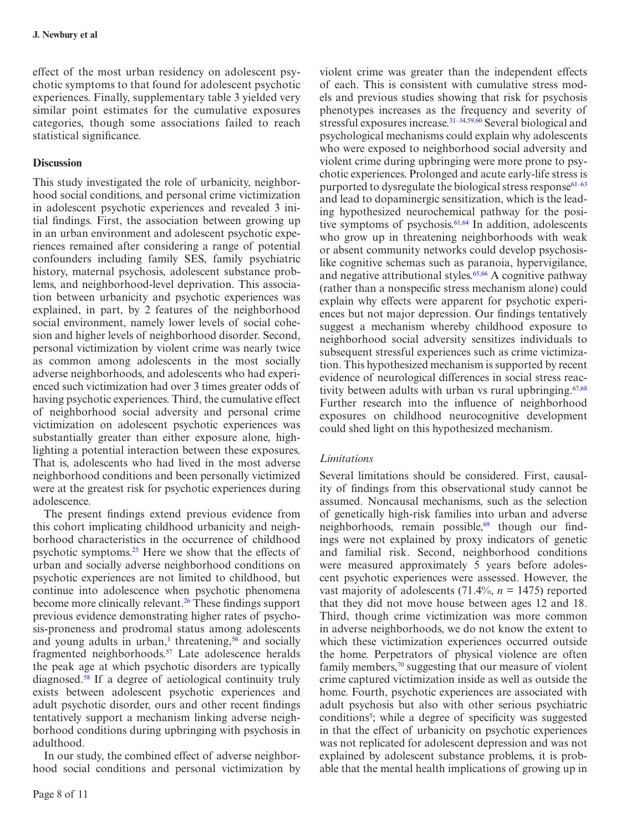effect of the most urban residency on adolescent psychotic symptoms to that found for adolescent psychotic experiences. Finally, supplementary table 3 yielded very similar point estimates for the cumulative exposures categories, though some associations failed to reach statistical significance.

# **Discussion**

This study investigated the role of urbanicity, neighborhood social conditions, and personal crime victimization in adolescent psychotic experiences and revealed 3 initial findings. First, the association between growing up in an urban environment and adolescent psychotic experiences remained after considering a range of potential confounders including family SES, family psychiatric history, maternal psychosis, adolescent substance problems, and neighborhood-level deprivation. This association between urbanicity and psychotic experiences was explained, in part, by 2 features of the neighborhood social environment, namely lower levels of social cohesion and higher levels of neighborhood disorder. Second, personal victimization by violent crime was nearly twice as common among adolescents in the most socially adverse neighborhoods, and adolescents who had experienced such victimization had over 3 times greater odds of having psychotic experiences. Third, the cumulative effect of neighborhood social adversity and personal crime victimization on adolescent psychotic experiences was substantially greater than either exposure alone, highlighting a potential interaction between these exposures. That is, adolescents who had lived in the most adverse neighborhood conditions and been personally victimized were at the greatest risk for psychotic experiences during adolescence.

The present findings extend previous evidence from this cohort implicating childhood urbanicity and neighborhood characteristics in the occurrence of childhood psychotic symptoms.<sup>25</sup> Here we show that the effects of urban and socially adverse neighborhood conditions on psychotic experiences are not limited to childhood, but continue into adolescence when psychotic phenomena become more clinically relevant[.26](#page-9-4) These findings support previous evidence demonstrating higher rates of psychosis-proneness and prodromal status among adolescents and young adults in urban,<sup>[1](#page-8-0)</sup> threatening,<sup>56</sup> and socially fragmented neighborhoods[.57](#page-10-5) Late adolescence heralds the peak age at which psychotic disorders are typically diagnosed.[58](#page-10-6) If a degree of aetiological continuity truly exists between adolescent psychotic experiences and adult psychotic disorder, ours and other recent findings tentatively support a mechanism linking adverse neighborhood conditions during upbringing with psychosis in adulthood.

In our study, the combined effect of adverse neighborhood social conditions and personal victimization by violent crime was greater than the independent effects of each. This is consistent with cumulative stress models and previous studies showing that risk for psychosis phenotypes increases as the frequency and severity of stressful exposures increase.<sup>31–34,[59](#page-10-7),60</sup> Several biological and psychological mechanisms could explain why adolescents who were exposed to neighborhood social adversity and violent crime during upbringing were more prone to psychotic experiences. Prolonged and acute early-life stress is purported to dysregulate the biological stress response $61-63$ and lead to dopaminergic sensitization, which is the leading hypothesized neurochemical pathway for the posi-tive symptoms of psychosis.<sup>61,[64](#page-10-9)</sup> In addition, adolescents who grow up in threatening neighborhoods with weak or absent community networks could develop psychosislike cognitive schemas such as paranoia, hypervigilance, and negative attributional styles.<sup>65,[66](#page-10-11)</sup> A cognitive pathway (rather than a nonspecific stress mechanism alone) could explain why effects were apparent for psychotic experiences but not major depression. Our findings tentatively suggest a mechanism whereby childhood exposure to neighborhood social adversity sensitizes individuals to subsequent stressful experiences such as crime victimization. This hypothesized mechanism is supported by recent evidence of neurological differences in social stress reactivity between adults with urban vs rural upbringing. $67,68$  $67,68$  $67,68$ Further research into the influence of neighborhood exposures on childhood neurocognitive development could shed light on this hypothesized mechanism.

# *Limitations*

Several limitations should be considered. First, causality of findings from this observational study cannot be assumed. Noncausal mechanisms, such as the selection of genetically high-risk families into urban and adverse neighborhoods, remain possible, $69$  though our findings were not explained by proxy indicators of genetic and familial risk. Second, neighborhood conditions were measured approximately 5 years before adolescent psychotic experiences were assessed. However, the vast majority of adolescents  $(71.4\% , n = 1475)$  reported that they did not move house between ages 12 and 18. Third, though crime victimization was more common in adverse neighborhoods, we do not know the extent to which these victimization experiences occurred outside the home. Perpetrators of physical violence are often family members, $\frac{70}{10}$  suggesting that our measure of violent crime captured victimization inside as well as outside the home. Fourth, psychotic experiences are associated with adult psychosis but also with other serious psychiatric conditions<sup>[5](#page-8-1)</sup>; while a degree of specificity was suggested in that the effect of urbanicity on psychotic experiences was not replicated for adolescent depression and was not explained by adolescent substance problems, it is probable that the mental health implications of growing up in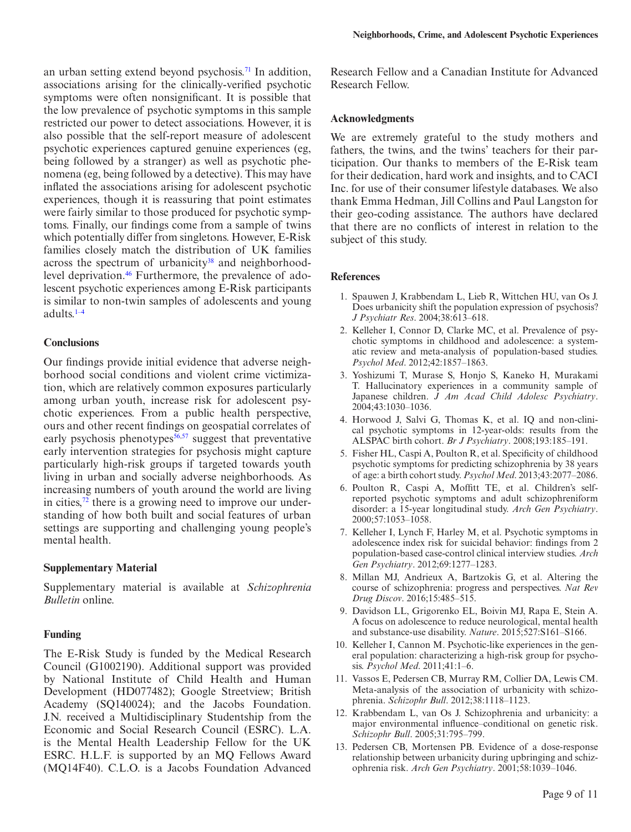an urban setting extend beyond psychosis.<sup>71</sup> In addition, associations arising for the clinically-verified psychotic symptoms were often nonsignificant. It is possible that the low prevalence of psychotic symptoms in this sample restricted our power to detect associations. However, it is also possible that the self-report measure of adolescent psychotic experiences captured genuine experiences (eg, being followed by a stranger) as well as psychotic phenomena (eg, being followed by a detective). This may have inflated the associations arising for adolescent psychotic experiences, though it is reassuring that point estimates were fairly similar to those produced for psychotic symptoms. Finally, our findings come from a sample of twins which potentially differ from singletons. However, E-Risk families closely match the distribution of UK families across the spectrum of urbanicity<sup>38</sup> and neighborhood-level deprivation.<sup>[46](#page-9-20)</sup> Furthermore, the prevalence of adolescent psychotic experiences among E-Risk participants is similar to non-twin samples of adolescents and young adults[.1–4](#page-8-0)

## **Conclusions**

Our findings provide initial evidence that adverse neighborhood social conditions and violent crime victimization, which are relatively common exposures particularly among urban youth, increase risk for adolescent psychotic experiences. From a public health perspective, ours and other recent findings on geospatial correlates of early psychosis phenotypes $56,57$  $56,57$  suggest that preventative early intervention strategies for psychosis might capture particularly high-risk groups if targeted towards youth living in urban and socially adverse neighborhoods. As increasing numbers of youth around the world are living in cities, $^{72}$  there is a growing need to improve our understanding of how both built and social features of urban settings are supporting and challenging young people's mental health.

## **Supplementary Material**

Supplementary material is available at *Schizophrenia Bulletin* online.

## **Funding**

The E-Risk Study is funded by the Medical Research Council (G1002190). Additional support was provided by National Institute of Child Health and Human Development (HD077482); Google Streetview; British Academy (SQ140024); and the Jacobs Foundation. J.N. received a Multidisciplinary Studentship from the Economic and Social Research Council (ESRC). L.A. is the Mental Health Leadership Fellow for the UK ESRC. H.L.F. is supported by an MQ Fellows Award (MQ14F40). C.L.O. is a Jacobs Foundation Advanced Research Fellow and a Canadian Institute for Advanced Research Fellow.

#### **Acknowledgments**

We are extremely grateful to the study mothers and fathers, the twins, and the twins' teachers for their participation. Our thanks to members of the E-Risk team for their dedication, hard work and insights, and to CACI Inc. for use of their consumer lifestyle databases. We also thank Emma Hedman, Jill Collins and Paul Langston for their geo-coding assistance. The authors have declared that there are no conflicts of interest in relation to the subject of this study.

## **References**

- <span id="page-8-0"></span>1. Spauwen J, Krabbendam L, Lieb R, Wittchen HU, van Os J. Does urbanicity shift the population expression of psychosis? *J Psychiatr Res*. 2004;38:613–618.
- 2. Kelleher I, Connor D, Clarke MC, et al. Prevalence of psychotic symptoms in childhood and adolescence: a systematic review and meta-analysis of population-based studies. *Psychol Med*. 2012;42:1857–1863.
- 3. Yoshizumi T, Murase S, Honjo S, Kaneko H, Murakami T. Hallucinatory experiences in a community sample of Japanese children. *J Am Acad Child Adolesc Psychiatry*. 2004;43:1030–1036.
- 4. Horwood J, Salvi G, Thomas K, et al. IQ and non-clinical psychotic symptoms in 12-year-olds: results from the ALSPAC birth cohort. *Br J Psychiatry*. 2008;193:185–191.
- <span id="page-8-1"></span>5. Fisher HL, Caspi A, Poulton R, et al. Specificity of childhood psychotic symptoms for predicting schizophrenia by 38 years of age: a birth cohort study. *Psychol Med*. 2013;43:2077–2086.
- 6. Poulton R, Caspi A, Moffitt TE, et al. Children's selfreported psychotic symptoms and adult schizophreniform disorder: a 15-year longitudinal study. *Arch Gen Psychiatry*. 2000;57:1053–1058.
- 7. Kelleher I, Lynch F, Harley M, et al. Psychotic symptoms in adolescence index risk for suicidal behavior: findings from 2 population-based case-control clinical interview studies. *Arch Gen Psychiatry*. 2012;69:1277–1283.
- <span id="page-8-2"></span>8. Millan MJ, Andrieux A, Bartzokis G, et al. Altering the course of schizophrenia: progress and perspectives. *Nat Rev Drug Discov*. 2016;15:485–515.
- <span id="page-8-3"></span>9. Davidson LL, Grigorenko EL, Boivin MJ, Rapa E, Stein A. A focus on adolescence to reduce neurological, mental health and substance-use disability. *Nature*. 2015;527:S161–S166.
- <span id="page-8-4"></span>10. Kelleher I, Cannon M. Psychotic-like experiences in the general population: characterizing a high-risk group for psychosis. *Psychol Med*. 2011;41:1–6.
- <span id="page-8-5"></span>11. Vassos E, Pedersen CB, Murray RM, Collier DA, Lewis CM. Meta-analysis of the association of urbanicity with schizophrenia. *Schizophr Bull*. 2012;38:1118–1123.
- 12. Krabbendam L, van Os J. Schizophrenia and urbanicity: a major environmental influence–conditional on genetic risk. *Schizophr Bull*. 2005;31:795–799.
- 13. Pedersen CB, Mortensen PB. Evidence of a dose-response relationship between urbanicity during upbringing and schizophrenia risk. *Arch Gen Psychiatry*. 2001;58:1039–1046.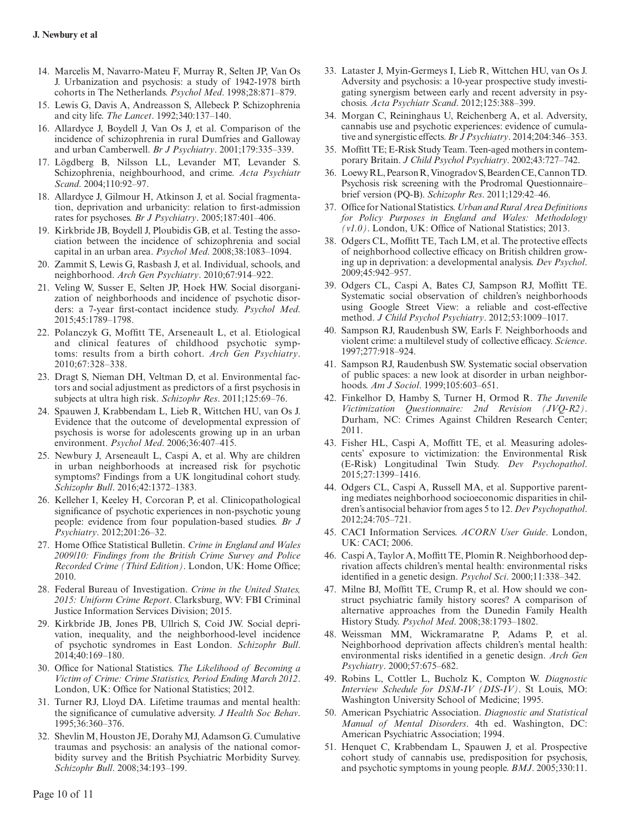- 14. Marcelis M, Navarro-Mateu F, Murray R, Selten JP, Van Os J. Urbanization and psychosis: a study of 1942-1978 birth cohorts in The Netherlands. *Psychol Med*. 1998;28:871–879.
- 15. Lewis G, Davis A, Andreasson S, Allebeck P. Schizophrenia and city life. *The Lancet*. 1992;340:137–140.
- 16. Allardyce J, Boydell J, Van Os J, et al. Comparison of the incidence of schizophrenia in rural Dumfries and Galloway and urban Camberwell. *Br J Psychiatry*. 2001;179:335–339.
- 17. Lögdberg B, Nilsson LL, Levander MT, Levander S. Schizophrenia, neighbourhood, and crime. *Acta Psychiatr Scand*. 2004;110:92–97.
- 18. Allardyce J, Gilmour H, Atkinson J, et al. Social fragmentation, deprivation and urbanicity: relation to first-admission rates for psychoses. *Br J Psychiatry*. 2005;187:401–406.
- 19. Kirkbride JB, Boydell J, Ploubidis GB, et al. Testing the association between the incidence of schizophrenia and social capital in an urban area. *Psychol Med*. 2008;38:1083–1094.
- 20. Zammit S, Lewis G, Rasbash J, et al. Individual, schools, and neighborhood. *Arch Gen Psychiatry*. 2010;67:914–922.
- 21. Veling W, Susser E, Selten JP, Hoek HW. Social disorganization of neighborhoods and incidence of psychotic disorders: a 7-year first-contact incidence study. *Psychol Med*. 2015;45:1789–1798.
- <span id="page-9-0"></span>22. Polanczyk G, Moffitt TE, Arseneault L, et al. Etiological and clinical features of childhood psychotic symptoms: results from a birth cohort. *Arch Gen Psychiatry*. 2010;67:328–338.
- <span id="page-9-1"></span>23. Dragt S, Nieman DH, Veltman D, et al. Environmental factors and social adjustment as predictors of a first psychosis in subjects at ultra high risk. *Schizophr Res*. 2011;125:69–76.
- <span id="page-9-2"></span>24. Spauwen J, Krabbendam L, Lieb R, Wittchen HU, van Os J. Evidence that the outcome of developmental expression of psychosis is worse for adolescents growing up in an urban environment. *Psychol Med*. 2006;36:407–415.
- <span id="page-9-3"></span>25. Newbury J, Arseneault L, Caspi A, et al. Why are children in urban neighborhoods at increased risk for psychotic symptoms? Findings from a UK longitudinal cohort study. *Schizophr Bull*. 2016;42:1372–1383.
- <span id="page-9-4"></span>26. Kelleher I, Keeley H, Corcoran P, et al. Clinicopathological significance of psychotic experiences in non-psychotic young people: evidence from four population-based studies. *Br J Psychiatry*. 2012;201:26–32.
- <span id="page-9-5"></span>27. Home Office Statistical Bulletin. *Crime in England and Wales 2009/10: Findings from the British Crime Survey and Police Recorded Crime (Third Edition)*. London, UK: Home Office; 2010.
- <span id="page-9-6"></span>28. Federal Bureau of Investigation. *Crime in the United States, 2015: Uniform Crime Report*. Clarksburg, WV: FBI Criminal Justice Information Services Division; 2015.
- <span id="page-9-7"></span>29. Kirkbride JB, Jones PB, Ullrich S, Coid JW. Social deprivation, inequality, and the neighborhood-level incidence of psychotic syndromes in East London. *Schizophr Bull*. 2014;40:169–180.
- <span id="page-9-8"></span>30. Office for National Statistics. *The Likelihood of Becoming a Victim of Crime: Crime Statistics, Period Ending March 2012*. London, UK: Office for National Statistics; 2012.
- <span id="page-9-9"></span>31. Turner RJ, Lloyd DA. Lifetime traumas and mental health: the significance of cumulative adversity. *J Health Soc Behav*. 1995;36:360–376.
- 32. Shevlin M, Houston JE, Dorahy MJ, Adamson G. Cumulative traumas and psychosis: an analysis of the national comorbidity survey and the British Psychiatric Morbidity Survey. *Schizophr Bull*. 2008;34:193–199.
- 33. Lataster J, Myin-Germeys I, Lieb R, Wittchen HU, van Os J. Adversity and psychosis: a 10-year prospective study investigating synergism between early and recent adversity in psychosis. *Acta Psychiatr Scand*. 2012;125:388–399.
- 34. Morgan C, Reininghaus U, Reichenberg A, et al. Adversity, cannabis use and psychotic experiences: evidence of cumulative and synergistic effects. *Br J Psychiatry*. 2014;204:346–353.
- <span id="page-9-10"></span>35. Moffitt TE; E-Risk Study Team. Teen-aged mothers in contemporary Britain. *J Child Psychol Psychiatry*. 2002;43:727–742.
- <span id="page-9-11"></span>36. Loewy RL, Pearson R, Vinogradov S, Bearden CE, Cannon TD. Psychosis risk screening with the Prodromal Questionnaire– brief version (PQ-B). *Schizophr Res*. 2011;129:42–46.
- <span id="page-9-12"></span>37. Office for National Statistics. *Urban and Rural Area Definitions for Policy Purposes in England and Wales: Methodology (v1.0)*. London, UK: Office of National Statistics; 2013.
- <span id="page-9-13"></span>38. Odgers CL, Moffitt TE, Tach LM, et al. The protective effects of neighborhood collective efficacy on British children growing up in deprivation: a developmental analysis. *Dev Psychol*. 2009;45:942–957.
- <span id="page-9-14"></span>39. Odgers CL, Caspi A, Bates CJ, Sampson RJ, Moffitt TE. Systematic social observation of children's neighborhoods using Google Street View: a reliable and cost-effective method. *J Child Psychol Psychiatry*. 2012;53:1009–1017.
- <span id="page-9-15"></span>40. Sampson RJ, Raudenbush SW, Earls F. Neighborhoods and violent crime: a multilevel study of collective efficacy. *Science*. 1997;277:918–924.
- <span id="page-9-16"></span>41. Sampson RJ, Raudenbush SW. Systematic social observation of public spaces: a new look at disorder in urban neighborhoods. *Am J Sociol*. 1999;105:603–651.
- <span id="page-9-17"></span>42. Finkelhor D, Hamby S, Turner H, Ormod R. *The Juvenile Victimization Questionnaire: 2nd Revision (JVQ-R2)*. Durham, NC: Crimes Against Children Research Center; 2011.
- <span id="page-9-18"></span>43. Fisher HL, Caspi A, Moffitt TE, et al. Measuring adolescents' exposure to victimization: the Environmental Risk (E-Risk) Longitudinal Twin Study. *Dev Psychopathol*. 2015;27:1399–1416.
- <span id="page-9-19"></span>44. Odgers CL, Caspi A, Russell MA, et al. Supportive parenting mediates neighborhood socioeconomic disparities in children's antisocial behavior from ages 5 to 12. *Dev Psychopathol*. 2012;24:705–721.
- <span id="page-9-21"></span>45. CACI Information Services. *ACORN User Guide*. London, UK: CACI; 2006.
- <span id="page-9-20"></span>46. Caspi A, Taylor A, Moffitt TE, Plomin R. Neighborhood deprivation affects children's mental health: environmental risks identified in a genetic design. *Psychol Sci*. 2000;11:338–342.
- <span id="page-9-22"></span>47. Milne BJ, Moffitt TE, Crump R, et al. How should we construct psychiatric family history scores? A comparison of alternative approaches from the Dunedin Family Health History Study. *Psychol Med*. 2008;38:1793–1802.
- <span id="page-9-23"></span>48. Weissman MM, Wickramaratne P, Adams P, et al. Neighborhood deprivation affects children's mental health: environmental risks identified in a genetic design. *Arch Gen Psychiatry*. 2000;57:675–682.
- <span id="page-9-24"></span>49. Robins L, Cottler L, Bucholz K, Compton W. *Diagnostic Interview Schedule for DSM-IV (DIS-IV)*. St Louis, MO: Washington University School of Medicine; 1995.
- <span id="page-9-25"></span>50. American Psychiatric Association. *Diagnostic and Statistical Manual of Mental Disorders*. 4th ed. Washington, DC: American Psychiatric Association; 1994.
- <span id="page-9-26"></span>51. Henquet C, Krabbendam L, Spauwen J, et al. Prospective cohort study of cannabis use, predisposition for psychosis, and psychotic symptoms in young people. *BMJ*. 2005;330:11.